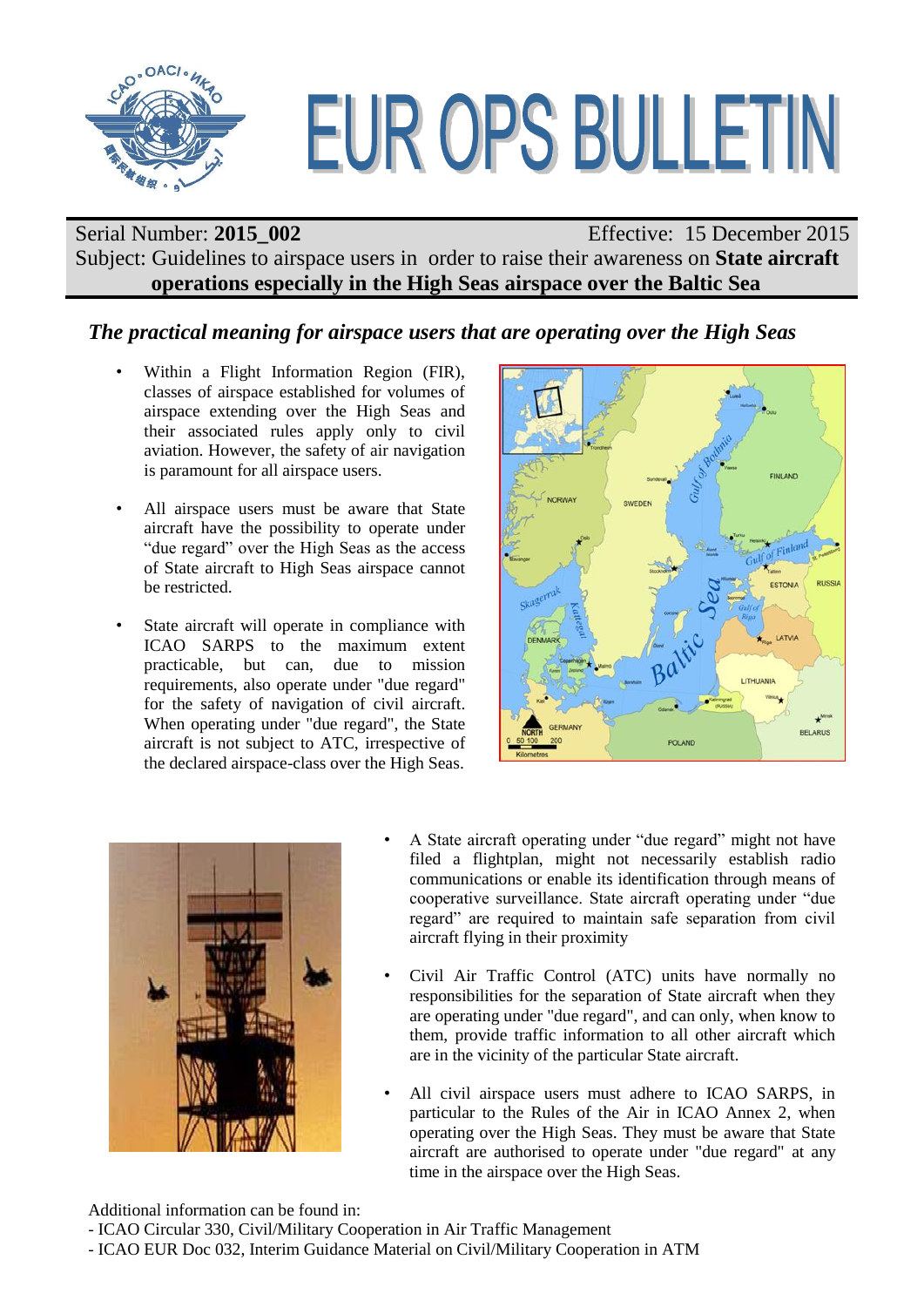

# EUR OPS BULLETIN

# Serial Number: **2015\_002** Effective: 15 December 2015 Subject: Guidelines to airspace users in order to raise their awareness on **State aircraft operations especially in the High Seas airspace over the Baltic Sea**

## *The practical meaning for airspace users that are operating over the High Seas*

- Within a Flight Information Region (FIR), classes of airspace established for volumes of airspace extending over the High Seas and their associated rules apply only to civil aviation. However, the safety of air navigation is paramount for all airspace users.
- All airspace users must be aware that State aircraft have the possibility to operate under "due regard" over the High Seas as the access of State aircraft to High Seas airspace cannot be restricted.
- State aircraft will operate in compliance with ICAO SARPS to the maximum extent practicable, but can, due to mission requirements, also operate under "due regard" for the safety of navigation of civil aircraft. When operating under "due regard", the State aircraft is not subject to ATC, irrespective of the declared airspace-class over the High Seas.





- A State aircraft operating under "due regard" might not have filed a flightplan, might not necessarily establish radio communications or enable its identification through means of cooperative surveillance. State aircraft operating under "due regard" are required to maintain safe separation from civil aircraft flying in their proximity
- Civil Air Traffic Control (ATC) units have normally no responsibilities for the separation of State aircraft when they are operating under "due regard", and can only, when know to them, provide traffic information to all other aircraft which are in the vicinity of the particular State aircraft.
- All civil airspace users must adhere to ICAO SARPS, in particular to the Rules of the Air in ICAO Annex 2, when operating over the High Seas. They must be aware that State aircraft are authorised to operate under "due regard" at any time in the airspace over the High Seas.

Additional information can be found in:

- ICAO EUR Doc 032, Interim Guidance Material on Civil/Military Cooperation in ATM

<sup>-</sup> ICAO Circular 330, Civil/Military Cooperation in Air Traffic Management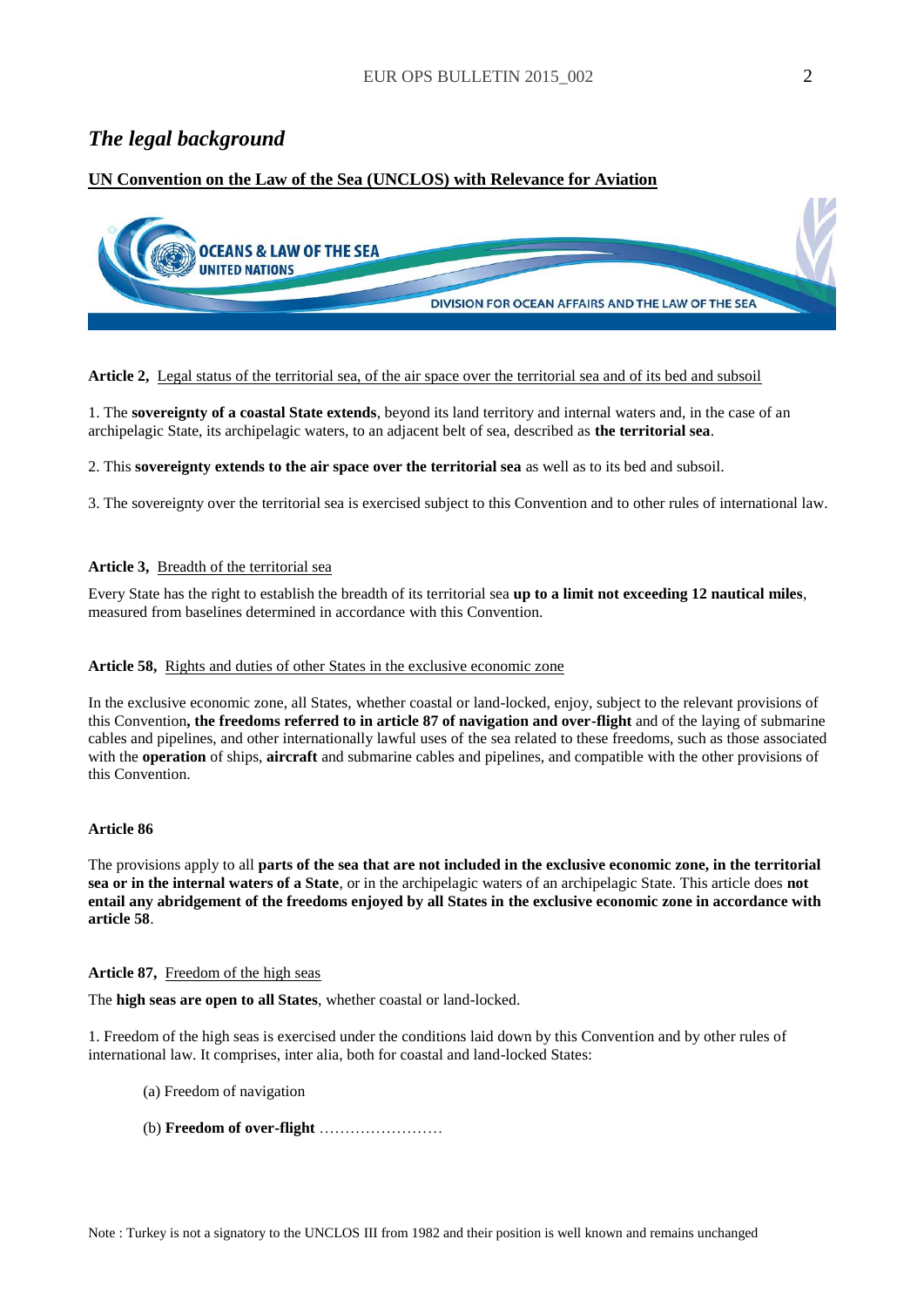## *The legal background*

## **UN Convention on the Law of the Sea (UNCLOS) with Relevance for Aviation**



#### **Article 2,** Legal status of the territorial sea, of the air space over the territorial sea and of its bed and subsoil

1. The **sovereignty of a coastal State extends**, beyond its land territory and internal waters and, in the case of an archipelagic State, its archipelagic waters, to an adjacent belt of sea, described as **the territorial sea**.

2. This **sovereignty extends to the air space over the territorial sea** as well as to its bed and subsoil.

3. The sovereignty over the territorial sea is exercised subject to this Convention and to other rules of international law.

#### **Article 3,** Breadth of the territorial sea

Every State has the right to establish the breadth of its territorial sea **up to a limit not exceeding 12 nautical miles**, measured from baselines determined in accordance with this Convention.

#### **Article 58,** Rights and duties of other States in the exclusive economic zone

In the exclusive economic zone, all States, whether coastal or land-locked, enjoy, subject to the relevant provisions of this Convention**, the freedoms referred to in article 87 of navigation and over-flight** and of the laying of submarine cables and pipelines, and other internationally lawful uses of the sea related to these freedoms, such as those associated with the **operation** of ships, **aircraft** and submarine cables and pipelines, and compatible with the other provisions of this Convention.

#### **Article 86**

The provisions apply to all **parts of the sea that are not included in the exclusive economic zone, in the territorial sea or in the internal waters of a State**, or in the archipelagic waters of an archipelagic State. This article does **not entail any abridgement of the freedoms enjoyed by all States in the exclusive economic zone in accordance with article 58**.

#### **Article 87,** Freedom of the high seas

The **high seas are open to all States**, whether coastal or land-locked.

1. Freedom of the high seas is exercised under the conditions laid down by this Convention and by other rules of international law. It comprises, inter alia, both for coastal and land-locked States:

- (a) Freedom of navigation
- (b) **Freedom of over-flight** ……………………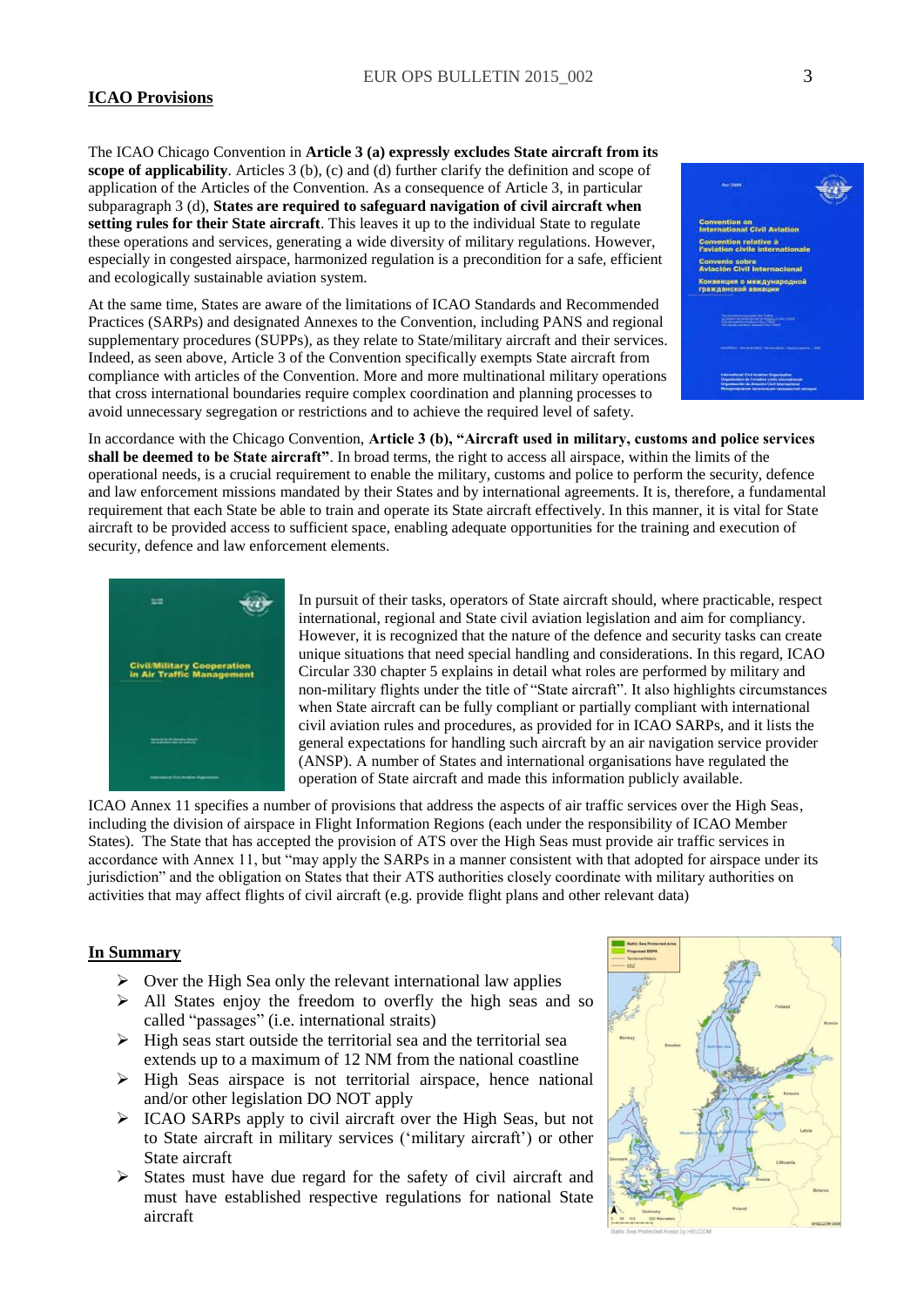#### **ICAO Provisions**

The ICAO Chicago Convention in **Article 3 (a) expressly excludes State aircraft from its scope of applicability**. Articles 3 (b), (c) and (d) further clarify the definition and scope of application of the Articles of the Convention. As a consequence of Article 3, in particular subparagraph 3 (d), **States are required to safeguard navigation of civil aircraft when setting rules for their State aircraft**. This leaves it up to the individual State to regulate these operations and services, generating a wide diversity of military regulations. However, especially in congested airspace, harmonized regulation is a precondition for a safe, efficient and ecologically sustainable aviation system.

At the same time, States are aware of the limitations of ICAO Standards and Recommended Practices (SARPs) and designated Annexes to the Convention, including PANS and regional supplementary procedures (SUPPs), as they relate to State/military aircraft and their services. Indeed, as seen above, Article 3 of the Convention specifically exempts State aircraft from compliance with articles of the Convention. More and more multinational military operations that cross international boundaries require complex coordination and planning processes to avoid unnecessary segregation or restrictions and to achieve the required level of safety.

In accordance with the Chicago Convention, **Article 3 (b), "Aircraft used in military, customs and police services shall be deemed to be State aircraft"**. In broad terms, the right to access all airspace, within the limits of the operational needs, is a crucial requirement to enable the military, customs and police to perform the security, defence and law enforcement missions mandated by their States and by international agreements. It is, therefore, a fundamental requirement that each State be able to train and operate its State aircraft effectively. In this manner, it is vital for State aircraft to be provided access to sufficient space, enabling adequate opportunities for the training and execution of security, defence and law enforcement elements.



In pursuit of their tasks, operators of State aircraft should, where practicable, respect international, regional and State civil aviation legislation and aim for compliancy. However, it is recognized that the nature of the defence and security tasks can create unique situations that need special handling and considerations. In this regard, ICAO Circular 330 chapter 5 explains in detail what roles are performed by military and non-military flights under the title of "State aircraft". It also highlights circumstances when State aircraft can be fully compliant or partially compliant with international civil aviation rules and procedures, as provided for in ICAO SARPs, and it lists the general expectations for handling such aircraft by an air navigation service provider (ANSP). A number of States and international organisations have regulated the operation of State aircraft and made this information publicly available.

ICAO Annex 11 specifies a number of provisions that address the aspects of air traffic services over the High Seas, including the division of airspace in Flight Information Regions (each under the responsibility of ICAO Member States). The State that has accepted the provision of ATS over the High Seas must provide air traffic services in accordance with Annex 11, but "may apply the SARPs in a manner consistent with that adopted for airspace under its jurisdiction" and the obligation on States that their ATS authorities closely coordinate with military authorities on activities that may affect flights of civil aircraft (e.g. provide flight plans and other relevant data)

#### **In Summary**

- $\triangleright$  Over the High Sea only the relevant international law applies
- All States enjoy the freedom to overfly the high seas and so called "passages" (i.e. international straits)
- $\triangleright$  High seas start outside the territorial sea and the territorial sea extends up to a maximum of 12 NM from the national coastline
- $\triangleright$  High Seas airspace is not territorial airspace, hence national and/or other legislation DO NOT apply
- $\triangleright$  ICAO SARPs apply to civil aircraft over the High Seas, but not to State aircraft in military services ('military aircraft') or other State aircraft
- $\triangleright$  States must have due regard for the safety of civil aircraft and must have established respective regulations for national State aircraft



<sub>in on</sub><br>Inal Civil Aviation